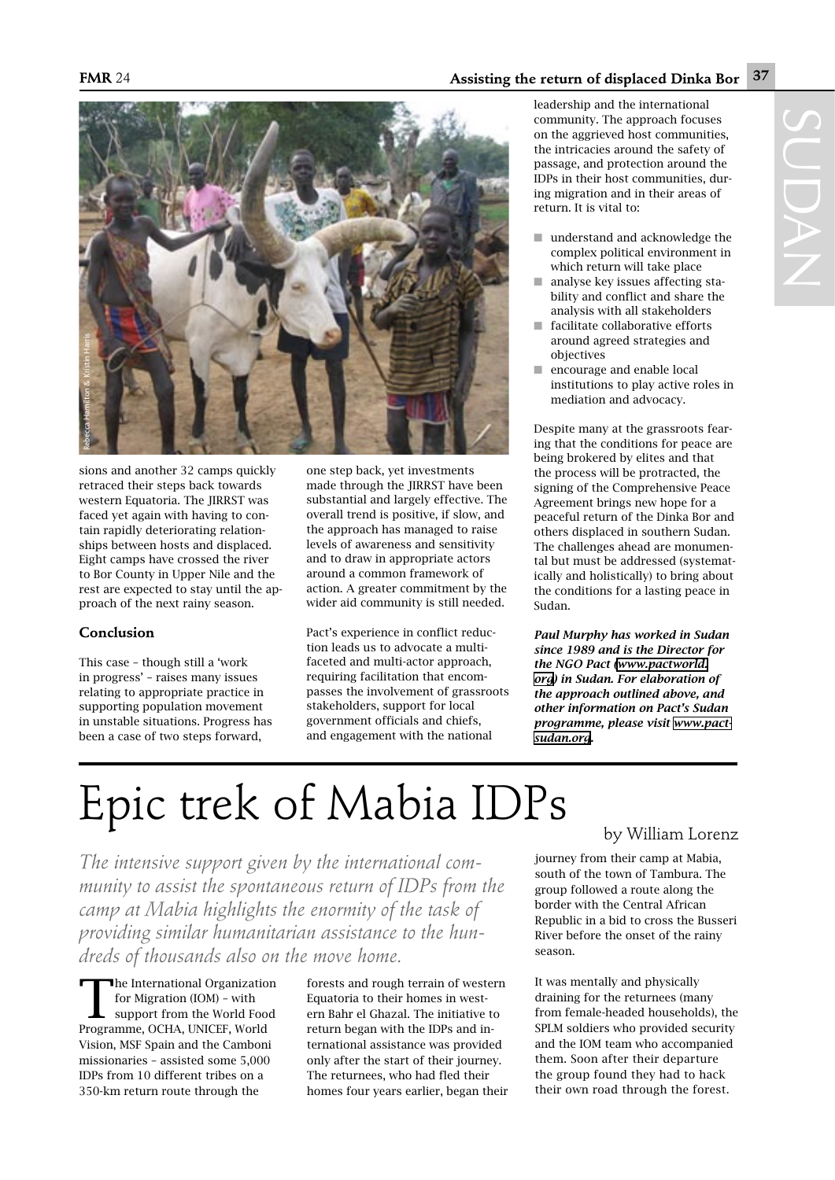## Epic trek of Mabia IDPs by William Lorenz

*The intensive support given by the international community to assist the spontaneous return of IDPs from the camp at Mabia highlights the enormity of the task of providing similar humanitarian assistance to the hundreds of thousands also on the move home.*

The International Organization<br>
for Migration (IOM) - with<br>
support from the World Food for Migration (IOM) – with Programme, OCHA, UNICEF, World Vision, MSF Spain and the Camboni missionaries – assisted some 5,000 IDPs from 10 different tribes on a 350-km return route through the

forests and rough terrain of western Equatoria to their homes in western Bahr el Ghazal. The initiative to return began with the IDPs and international assistance was provided only after the start of their journey. The returnees, who had fled their homes four years earlier, began their

journey from their camp at Mabia, south of the town of Tambura. The group followed a route along the border with the Central African Republic in a bid to cross the Busseri River before the onset of the rainy season.

It was mentally and physically draining for the returnees (many from female-headed households), the SPLM soldiers who provided security and the IOM team who accompanied them. Soon after their departure the group found they had to hack their own road through the forest.